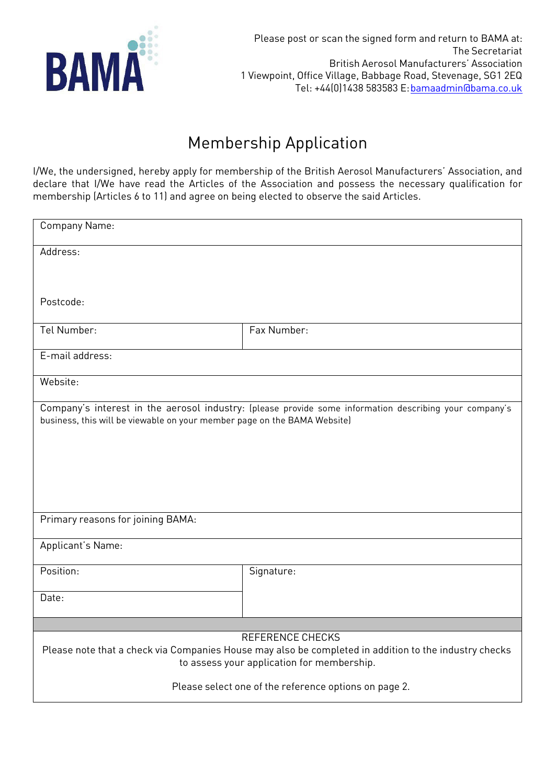

## Membership Application

I/We, the undersigned, hereby apply for membership of the British Aerosol Manufacturers' Association, and declare that I/We have read the Articles of the Association and possess the necessary qualification for membership (Articles 6 to 11) and agree on being elected to observe the said Articles.

| Company Name:                                                                                                                                                                      |             |  |  |
|------------------------------------------------------------------------------------------------------------------------------------------------------------------------------------|-------------|--|--|
| Address:                                                                                                                                                                           |             |  |  |
|                                                                                                                                                                                    |             |  |  |
| Postcode:                                                                                                                                                                          |             |  |  |
| Tel Number:                                                                                                                                                                        | Fax Number: |  |  |
| E-mail address:                                                                                                                                                                    |             |  |  |
| Website:                                                                                                                                                                           |             |  |  |
| Company's interest in the aerosol industry: (please provide some information describing your company's<br>business, this will be viewable on your member page on the BAMA Website) |             |  |  |
| Primary reasons for joining BAMA:                                                                                                                                                  |             |  |  |
| Applicant's Name:                                                                                                                                                                  |             |  |  |
| Position:                                                                                                                                                                          | Signature:  |  |  |
| Date:                                                                                                                                                                              |             |  |  |
|                                                                                                                                                                                    |             |  |  |
| REFERENCE CHECKS<br>Please note that a check via Companies House may also be completed in addition to the industry checks<br>to assess your application for membership.            |             |  |  |
| Please select one of the reference options on page 2.                                                                                                                              |             |  |  |